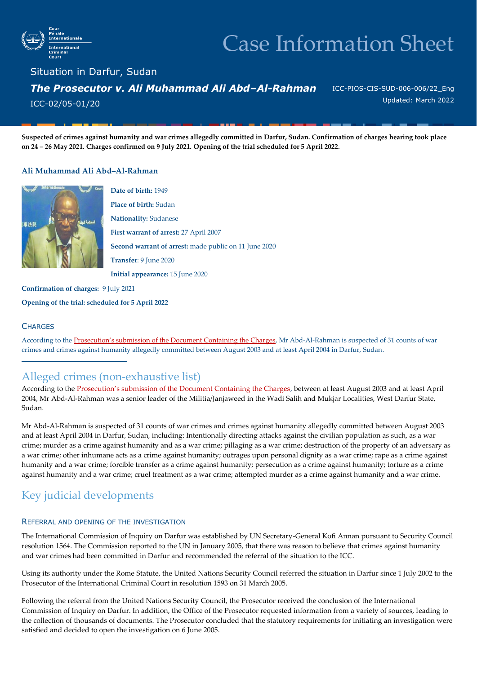

# Case Information Sheet

Situation in Darfur, Sudan *The Prosecutor v. Ali Muhammad Ali Abd–Al-Rahman*  ICC-02/05-01/20

ICC-PIOS-CIS-SUD-006-006/22\_Eng Updated: March 2022

**Suspected of crimes against humanity and war crimes allegedly committed in Darfur, Sudan. Confirmation of charges hearing took place on 24 – 26 May 2021. Charges confirmed on 9 July 2021. Opening of the trial scheduled for 5 April 2022.**

#### **Ali Muhammad Ali Abd–Al-Rahman**



**Date of birth:** 1949 **Place of birth:** Sudan **Nationality:** Sudanese **First warrant of arrest:** 27 April 2007 **Second warrant of arrest:** made public on 11 June 2020 **Transfer**: 9 June 2020 **Initial appearance:** 15 June 2020

**Confirmation of charges:** 9 July 2021

**Opening of the trial: scheduled for 5 April 2022**

#### **CHARGES**

According to the [Prosecution's submission of the Document Containing the Charges](https://www.icc-cpi.int/Pages/record.aspx?docNo=ICC-02/05-01/20-325), Mr Abd-Al-Rahman is suspected of 31 counts of war crimes and crimes against humanity allegedly committed between August 2003 and at least April 2004 in Darfur, Sudan.

### Alleged crimes (non-exhaustive list)

According to the [Prosecution's submission of the Document Containing the Charges](https://www.icc-cpi.int/Pages/record.aspx?docNo=ICC-02/05-01/20-325), between at least August 2003 and at least April 2004, Mr Abd-Al-Rahman was a senior leader of the Militia/Janjaweed in the Wadi Salih and Mukjar Localities, West Darfur State, Sudan.

Mr Abd-Al-Rahman is suspected of 31 counts of war crimes and crimes against humanity allegedly committed between August 2003 and at least April 2004 in Darfur, Sudan, including: Intentionally directing attacks against the civilian population as such, as a war crime; murder as a crime against humanity and as a war crime; pillaging as a war crime; destruction of the property of an adversary as a war crime; other inhumane acts as a crime against humanity; outrages upon personal dignity as a war crime; rape as a crime against humanity and a war crime; forcible transfer as a crime against humanity; persecution as a crime against humanity; torture as a crime against humanity and a war crime; cruel treatment as a war crime; attempted murder as a crime against humanity and a war crime.

## Key judicial developments

#### REFERRAL AND OPENING OF THE INVESTIGATION

The International Commission of Inquiry on Darfur was established by UN Secretary-General Kofi Annan pursuant to Security Council resolution 1564. The Commission reported to the UN in January 2005, that there was reason to believe that crimes against humanity and war crimes had been committed in Darfur and recommended the referral of the situation to the ICC.

Using its authority under the Rome Statute, the United Nations Security Council referred the situation in Darfur since 1 July 2002 to the Prosecutor of the International Criminal Court in resolution 1593 on 31 March 2005.

Following the referral from the United Nations Security Council, the Prosecutor received the conclusion of the International Commission of Inquiry on Darfur. In addition, the Office of the Prosecutor requested information from a variety of sources, leading to the collection of thousands of documents. The Prosecutor concluded that the statutory requirements for initiating an investigation were satisfied and decided to open the investigation on 6 June 2005.